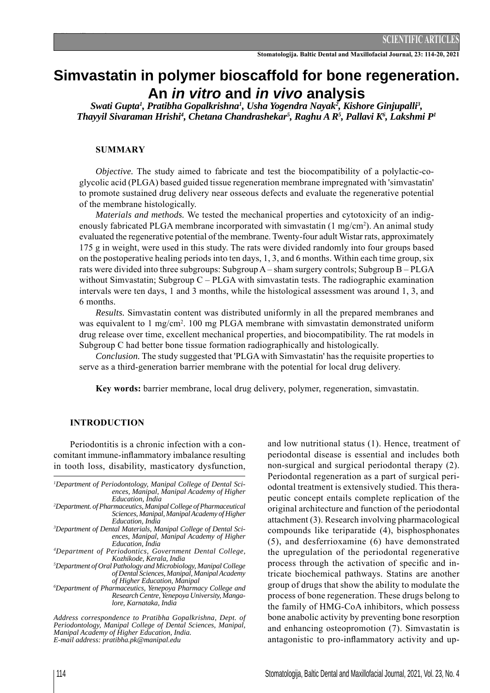# **Simvastatin in polymer bioscaffold for bone regeneration. An** *in vitro* **and** *in vivo* **analysis**

Swati Gupta<sup>1</sup>, Pratibha Gopalkrishna<sup>1</sup>, Usha Yogendra Nayak<sup>2</sup>, Kishore Ginjupalli<sup>3</sup>, *Thayyil Sivaraman Hrishi4 , Chetana Chandrashekar5 , Raghu A R5 , Pallavi K6 , Lakshmi P1*

#### **SUMMARY**

*Objective.* The study aimed to fabricate and test the biocompatibility of a polylactic-coglycolic acid (PLGA) based guided tissue regeneration membrane impregnated with 'simvastatin' to promote sustained drug delivery near osseous defects and evaluate the regenerative potential of the membrane histologically.

*Materials and methods.* We tested the mechanical properties and cytotoxicity of an indigenously fabricated PLGA membrane incorporated with simvastatin (1 mg/cm<sup>2</sup>). An animal study evaluated the regenerative potential of the membrane. Twenty-four adult Wistar rats, approximately 175 g in weight, were used in this study. The rats were divided randomly into four groups based on the postoperative healing periods into ten days, 1, 3, and 6 months. Within each time group, six rats were divided into three subgroups: Subgroup A – sham surgery controls; Subgroup B – PLGA without Simvastatin; Subgroup C – PLGA with simvastatin tests. The radiographic examination intervals were ten days, 1 and 3 months, while the histological assessment was around 1, 3, and 6 months.

*Results.* Simvastatin content was distributed uniformly in all the prepared membranes and was equivalent to 1 mg/cm<sup>2</sup>. 100 mg PLGA membrane with simvastatin demonstrated uniform drug release over time, excellent mechanical properties, and biocompatibility. The rat models in Subgroup C had better bone tissue formation radiographically and histologically.

*Conclusion.* The study suggested that 'PLGA with Simvastatin' has the requisite properties to serve as a third-generation barrier membrane with the potential for local drug delivery.

**Key words:** barrier membrane, local drug delivery, polymer, regeneration, simvastatin.

#### **INTRODUCTION**

Periodontitis is a chronic infection with a concomitant immune-inflammatory imbalance resulting in tooth loss, disability, masticatory dysfunction,

- *1 Department of Periodontology, Manipal College of Dental Sciences, Manipal, Manipal Academy of Higher Education, India*
- *2 Department. of Pharmaceutics, Manipal College of Pharmaceutical Sciences, Manipal, Manipal Academy of Higher Education, India*
- *3 Department of Dental Materials, Manipal College of Dental Sciences, Manipal, Manipal Academy of Higher Education, India*
- *4 Department of Periodontics, Government Dental College, Kozhikode, Kerala, India*
- *5 Department of Oral Pathology and Microbiology, Manipal College of Dental Sciences, Manipal, Manipal Academy of Higher Education, Manipal*

*6 Department of Pharmaceutics, Yenepoya Pharmacy College and Research Centre, Yenepoya University, Mangalore, Karnataka, India* 

*Address correspondence to Pratibha Gopalkrishna, Dept. of Periodontology, Manipal College of Dental Sciences, Manipal, Manipal Academy of Higher Education, India. E-mail address: pratibha.pk@manipal.edu*

and low nutritional status (1). Hence, treatment of periodontal disease is essential and includes both non-surgical and surgical periodontal therapy (2). Periodontal regeneration as a part of surgical periodontal treatment is extensively studied. This therapeutic concept entails complete replication of the original architecture and function of the periodontal attachment (3). Research involving pharmacological compounds like teriparatide (4), bisphosphonates (5), and desferrioxamine (6) have demonstrated the upregulation of the periodontal regenerative process through the activation of specific and intricate biochemical pathways. Statins are another group of drugs that show the ability to modulate the process of bone regeneration. These drugs belong to the family of HMG-CoA inhibitors, which possess bone anabolic activity by preventing bone resorption and enhancing osteopromotion (7). Simvastatin is antagonistic to pro-inflammatory activity and up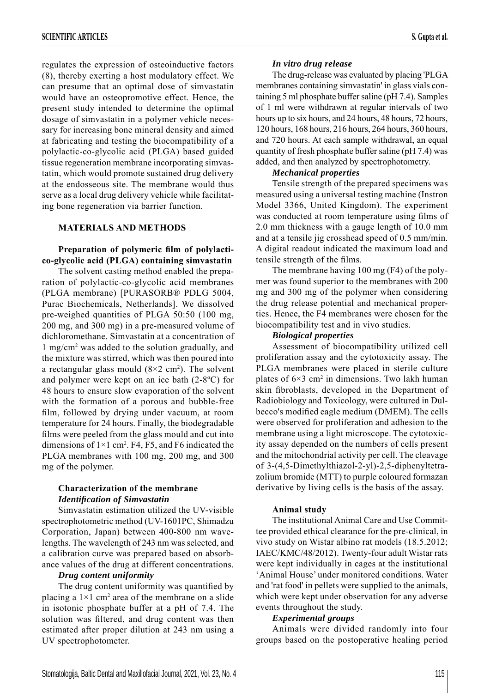regulates the expression of osteoinductive factors (8), thereby exerting a host modulatory effect. We can presume that an optimal dose of simvastatin would have an osteopromotive effect. Hence, the present study intended to determine the optimal dosage of simvastatin in a polymer vehicle necessary for increasing bone mineral density and aimed at fabricating and testing the biocompatibility of a polylactic-co-glycolic acid (PLGA) based guided tissue regeneration membrane incorporating simvastatin, which would promote sustained drug delivery at the endosseous site. The membrane would thus serve as a local drug delivery vehicle while facilitating bone regeneration via barrier function.

## **MATERIALS AND METHODS**

## Preparation of polymeric film of polylacti**co-glycolic acid (PLGA) containing simvastatin**

The solvent casting method enabled the preparation of polylactic-co-glycolic acid membranes (PLGA membrane) [PURASORB® PDLG 5004, Purac Biochemicals, Netherlands]. We dissolved pre-weighed quantities of PLGA 50:50 (100 mg, 200 mg, and 300 mg) in a pre-measured volume of dichloromethane. Simvastatin at a concentration of 1 mg/cm2 was added to the solution gradually, and the mixture was stirred, which was then poured into a rectangular glass mould  $(8\times2 \text{ cm}^2)$ . The solvent and polymer were kept on an ice bath (2-8ºC) for 48 hours to ensure slow evaporation of the solvent with the formation of a porous and bubble-free film, followed by drying under vacuum, at room temperature for 24 hours. Finally, the biodegradable films were peeled from the glass mould and cut into dimensions of  $1 \times 1$  cm<sup>2</sup>. F4, F5, and F6 indicated the PLGA membranes with 100 mg, 200 mg, and 300 mg of the polymer.

## **Characterization of the membrane** *Identifi cation of Simvastatin*

Simvastatin estimation utilized the UV-visible spectrophotometric method (UV-1601PC, Shimadzu Corporation, Japan) between 400-800 nm wavelengths. The wavelength of 243 nm was selected, and a calibration curve was prepared based on absorbance values of the drug at different concentrations.

#### *Drug content uniformity*

The drug content uniformity was quantified by placing a  $1 \times 1$  cm<sup>2</sup> area of the membrane on a slide in isotonic phosphate buffer at a pH of 7.4. The solution was filtered, and drug content was then estimated after proper dilution at 243 nm using a UV spectrophotometer.

## *In vitro drug release*

The drug-release was evaluated by placing 'PLGA membranes containing simvastatin' in glass vials containing 5 ml phosphate buffer saline (pH 7.4). Samples of 1 ml were withdrawn at regular intervals of two hours up to six hours, and 24 hours, 48 hours, 72 hours, 120 hours, 168 hours, 216 hours, 264 hours, 360 hours, and 720 hours. At each sample withdrawal, an equal quantity of fresh phosphate buffer saline (pH 7.4) was added, and then analyzed by spectrophotometry.

## *Mechanical properties*

Tensile strength of the prepared specimens was measured using a universal testing machine (Instron Model 3366, United Kingdom). The experiment was conducted at room temperature using films of 2.0 mm thickness with a gauge length of 10.0 mm and at a tensile jig crosshead speed of 0.5 mm/min. A digital readout indicated the maximum load and tensile strength of the films.

The membrane having 100 mg (F4) of the polymer was found superior to the membranes with 200 mg and 300 mg of the polymer when considering the drug release potential and mechanical properties. Hence, the F4 membranes were chosen for the biocompatibility test and in vivo studies.

## *Biological properties*

Assessment of biocompatibility utilized cell proliferation assay and the cytotoxicity assay. The PLGA membranes were placed in sterile culture plates of  $6\times3$  cm<sup>2</sup> in dimensions. Two lakh human skin fibroblasts, developed in the Department of Radiobiology and Toxicology, were cultured in Dulbecco's modified eagle medium (DMEM). The cells were observed for proliferation and adhesion to the membrane using a light microscope. The cytotoxicity assay depended on the numbers of cells present and the mitochondrial activity per cell. The cleavage of 3-(4,5-Dimethylthiazol-2-yl)-2,5-diphenyltetrazolium bromide (MTT) to purple coloured formazan derivative by living cells is the basis of the assay.

## **Animal study**

The institutional Animal Care and Use Committee provided ethical clearance for the pre-clinical, in vivo study on Wistar albino rat models (18.5.2012; IAEC/KMC/48/2012). Twenty-four adult Wistar rats were kept individually in cages at the institutional 'Animal House' under monitored conditions. Water and 'rat food' in pellets were supplied to the animals, which were kept under observation for any adverse events throughout the study.

#### *Experimental groups*

Animals were divided randomly into four groups based on the postoperative healing period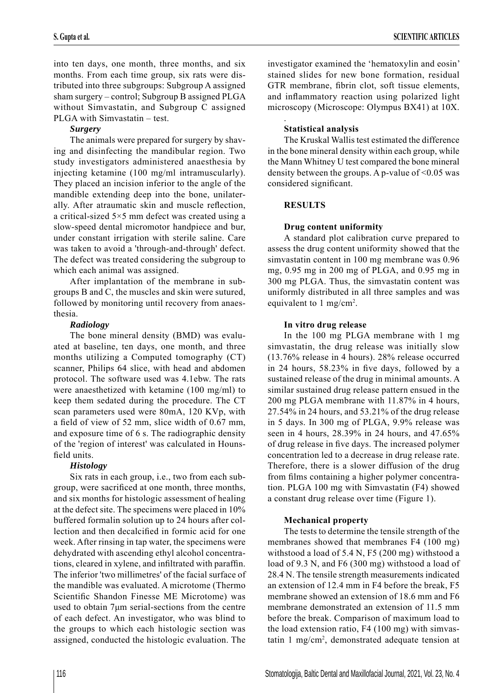into ten days, one month, three months, and six months. From each time group, six rats were distributed into three subgroups: Subgroup A assigned sham surgery – control; Subgroup B assigned PLGA without Simvastatin, and Subgroup C assigned PLGA with Simvastatin – test.

# *Surgery*

The animals were prepared for surgery by shaving and disinfecting the mandibular region. Two study investigators administered anaesthesia by injecting ketamine (100 mg/ml intramuscularly). They placed an incision inferior to the angle of the mandible extending deep into the bone, unilaterally. After atraumatic skin and muscle reflection, a critical-sized 5×5 mm defect was created using a slow-speed dental micromotor handpiece and bur, under constant irrigation with sterile saline. Care was taken to avoid a 'through-and-through' defect. The defect was treated considering the subgroup to which each animal was assigned.

After implantation of the membrane in subgroups B and C, the muscles and skin were sutured, followed by monitoring until recovery from anaesthesia.

## *Radiology*

The bone mineral density (BMD) was evaluated at baseline, ten days, one month, and three months utilizing a Computed tomography (CT) scanner, Philips 64 slice, with head and abdomen protocol. The software used was 4.1ebw. The rats were anaesthetized with ketamine (100 mg/ml) to keep them sedated during the procedure. The CT scan parameters used were 80mA, 120 KVp, with a field of view of 52 mm, slice width of  $0.67$  mm, and exposure time of 6 s. The radiographic density of the 'region of interest' was calculated in Hounsfield units.

# *Histology*

Six rats in each group, i.e., two from each subgroup, were sacrificed at one month, three months, and six months for histologic assessment of healing at the defect site. The specimens were placed in 10% buffered formalin solution up to 24 hours after collection and then decalcified in formic acid for one week. After rinsing in tap water, the specimens were dehydrated with ascending ethyl alcohol concentrations, cleared in xylene, and infiltrated with paraffin. The inferior 'two millimetres' of the facial surface of the mandible was evaluated. A microtome (Thermo Scientific Shandon Finesse ME Microtome) was used to obtain 7μm serial-sections from the centre of each defect. An investigator, who was blind to the groups to which each histologic section was assigned, conducted the histologic evaluation. The

investigator examined the 'hematoxylin and eosin' stained slides for new bone formation, residual GTR membrane, fibrin clot, soft tissue elements, and inflammatory reaction using polarized light microscopy (Microscope: Olympus BX41) at 10X.

#### . **Statistical analysis**

The Kruskal Wallis test estimated the difference in the bone mineral density within each group, while the Mann Whitney U test compared the bone mineral density between the groups. A p-value of  $\leq 0.05$  was considered significant.

# **RESULTS**

# **Drug content uniformity**

A standard plot calibration curve prepared to assess the drug content uniformity showed that the simvastatin content in 100 mg membrane was 0.96 mg, 0.95 mg in 200 mg of PLGA, and 0.95 mg in 300 mg PLGA. Thus, the simvastatin content was uniformly distributed in all three samples and was equivalent to 1 mg/cm<sup>2</sup>.

# **In vitro drug release**

In the 100 mg PLGA membrane with 1 mg simvastatin, the drug release was initially slow (13.76% release in 4 hours). 28% release occurred in 24 hours,  $58.23\%$  in five days, followed by a sustained release of the drug in minimal amounts. A similar sustained drug release pattern ensued in the 200 mg PLGA membrane with 11.87% in 4 hours, 27.54% in 24 hours, and 53.21% of the drug release in 5 days. In 300 mg of PLGA, 9.9% release was seen in 4 hours, 28.39% in 24 hours, and 47.65% of drug release in five days. The increased polymer concentration led to a decrease in drug release rate. Therefore, there is a slower diffusion of the drug from films containing a higher polymer concentration. PLGA 100 mg with Simvastatin (F4) showed a constant drug release over time (Figure 1).

# **Mechanical property**

The tests to determine the tensile strength of the membranes showed that membranes F4 (100 mg) withstood a load of 5.4 N, F5 (200 mg) withstood a load of 9.3 N, and F6 (300 mg) withstood a load of 28.4 N. The tensile strength measurements indicated an extension of 12.4 mm in F4 before the break, F5 membrane showed an extension of 18.6 mm and F6 membrane demonstrated an extension of 11.5 mm before the break. Comparison of maximum load to the load extension ratio, F4 (100 mg) with simvastatin 1 mg/cm2 , demonstrated adequate tension at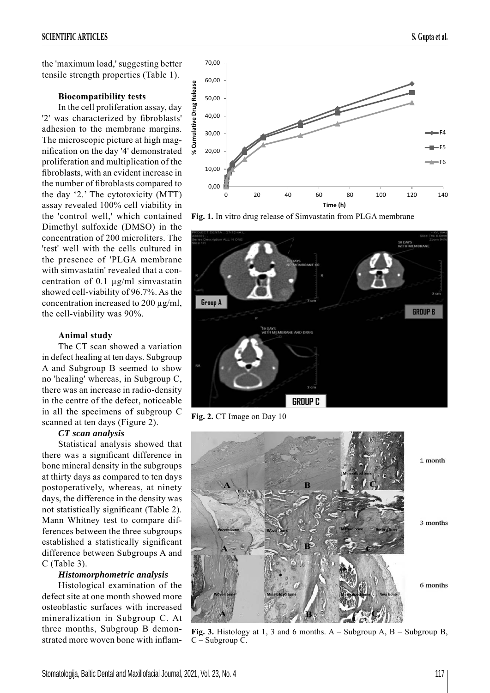#### **Biocompatibility tests**

In the cell proliferation assay, day '2' was characterized by fibroblasts' adhesion to the membrane margins. The microscopic picture at high magnification on the day '4' demonstrated proliferation and multiplication of the fibroblasts, with an evident increase in the number of fibroblasts compared to the day '2.' The cytotoxicity (MTT) assay revealed 100% cell viability in the 'control well,' which contained Dimethyl sulfoxide (DMSO) in the concentration of 200 microliters. The 'test' well with the cells cultured in the presence of 'PLGA membrane with simvastatin' revealed that a concentration of 0.1 μg/ml simvastatin showed cell-viability of 96.7%. As the concentration increased to 200 μg/ml, the cell-viability was 90%.

#### **Animal study**

The CT scan showed a variation in defect healing at ten days. Subgroup A and Subgroup B seemed to show no 'healing' whereas, in Subgroup C, there was an increase in radio-density in the centre of the defect, noticeable in all the specimens of subgroup C scanned at ten days (Figure 2).

#### *CT scan analysis*

Statistical analysis showed that there was a significant difference in bone mineral density in the subgroups at thirty days as compared to ten days postoperatively, whereas, at ninety days, the difference in the density was not statistically significant (Table 2). Mann Whitney test to compare differences between the three subgroups established a statistically significant difference between Subgroups A and C (Table 3).

#### *Histomorphometric analysis*

Histological examination of the defect site at one month showed more osteoblastic surfaces with increased mineralization in Subgroup C. At three months, Subgroup B demonstrated more woven bone with inflam-





**Fig. 1.** In vitro drug release of Simvastatin from PLGA membrane



**Fig. 2.** CT Image on Day 10

10,00

20,00

30,00

40,00

**% Cumulative Drug Release**

% Cumulative Drug Release

50,00

60,00

70,00



**Fig. 3.** Histology at 1, 3 and 6 months. A – Subgroup A, B – Subgroup B, C – Subgroup C.

F4 F5  $-F6$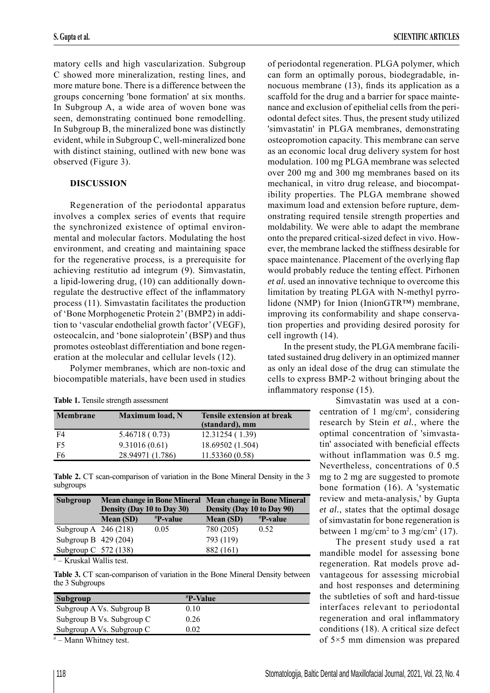matory cells and high vascularization. Subgroup C showed more mineralization, resting lines, and more mature bone. There is a difference between the groups concerning 'bone formation' at six months. In Subgroup A, a wide area of woven bone was seen, demonstrating continued bone remodelling. In Subgroup B, the mineralized bone was distinctly evident, while in Subgroup C, well-mineralized bone with distinct staining, outlined with new bone was observed (Figure 3).

#### **DISCUSSION**

Regeneration of the periodontal apparatus involves a complex series of events that require the synchronized existence of optimal environmental and molecular factors. Modulating the host environment, and creating and maintaining space for the regenerative process, is a prerequisite for achieving restitutio ad integrum (9). Simvastatin, a lipid-lowering drug, (10) can additionally downregulate the destructive effect of the inflammatory process (11). Simvastatin facilitates the production of 'Bone Morphogenetic Protein 2' (BMP2) in addition to 'vascular endothelial growth factor' (VEGF), osteocalcin, and 'bone sialoprotein' (BSP) and thus promotes osteoblast differentiation and bone regeneration at the molecular and cellular levels (12).

Polymer membranes, which are non-toxic and biocompatible materials, have been used in studies

|  |  |  |  | Table 1. Tensile strength assessment |
|--|--|--|--|--------------------------------------|
|--|--|--|--|--------------------------------------|

| <b>Membrane</b> | <b>Maximum load, N</b> | <b>Tensile extension at break</b><br>(standard), mm |
|-----------------|------------------------|-----------------------------------------------------|
| F4              | 5.46718 (0.73)         | 12.31254 (1.39)                                     |
| F5              | 9.31016(0.61)          | 18.69502 (1.504)                                    |
| F6              | 28.94971 (1.786)       | 11.53360 (0.58)                                     |

Table 2. CT scan-comparison of variation in the Bone Mineral Density in the 3 subgroups

| Density (Day 10 to Day 30) |                           | Density (Day 10 to Day 90) |                                                         |
|----------------------------|---------------------------|----------------------------|---------------------------------------------------------|
| <b>Mean (SD)</b>           | $\mathbf{P}\text{-value}$ | <b>Mean (SD)</b>           | $\mathbf{P}\text{-value}$                               |
| Subgroup A $246(218)$      | 0.05                      | 780 (205)                  | 0.52                                                    |
| Subgroup B $429(204)$      |                           | 793 (119)                  |                                                         |
| Subgroup C $572(138)$      |                           | 882 (161)                  |                                                         |
|                            |                           |                            | Mean change in Bone Mineral Mean change in Bone Mineral |

# – Kruskal Wallis test.

**Table 3.** CT scan-comparison of variation in the Bone Mineral Density between the 3 Subgroups

| Subgroup                  | #P-Value |  |
|---------------------------|----------|--|
| Subgroup A Vs. Subgroup B | 0.10     |  |
| Subgroup B Vs. Subgroup C | 0.26     |  |
| Subgroup A Vs. Subgroup C | 9.02     |  |
|                           |          |  |

# – Mann Whitney test.

of periodontal regeneration. PLGA polymer, which can form an optimally porous, biodegradable, innocuous membrane  $(13)$ , finds its application as a scaffold for the drug and a barrier for space maintenance and exclusion of epithelial cells from the periodontal defect sites. Thus, the present study utilized 'simvastatin' in PLGA membranes, demonstrating osteopromotion capacity. This membrane can serve as an economic local drug delivery system for host modulation. 100 mg PLGA membrane was selected over 200 mg and 300 mg membranes based on its mechanical, in vitro drug release, and biocompatibility properties. The PLGA membrane showed maximum load and extension before rupture, demonstrating required tensile strength properties and moldability. We were able to adapt the membrane onto the prepared critical-sized defect in vivo. However, the membrane lacked the stiffness desirable for space maintenance. Placement of the overlying flap would probably reduce the tenting effect. Pirhonen *et al.* used an innovative technique to overcome this limitation by treating PLGA with N-methyl pyrrolidone (NMP) for Inion (InionGTR™) membrane, improving its conformability and shape conservation properties and providing desired porosity for cell ingrowth (14).

In the present study, the PLGA membrane facilitated sustained drug delivery in an optimized manner as only an ideal dose of the drug can stimulate the cells to express BMP-2 without bringing about the inflammatory response  $(15)$ .

> Simvastatin was used at a concentration of 1 mg/cm2 , considering research by Stein *et al.*, where the optimal concentration of 'simvastatin' associated with beneficial effects without inflammation was 0.5 mg. Nevertheless, concentrations of 0.5 mg to 2 mg are suggested to promote bone formation (16). A 'systematic review and meta-analysis,' by Gupta *et al.*, states that the optimal dosage of simvastatin for bone regeneration is between 1 mg/cm<sup>2</sup> to 3 mg/cm<sup>2</sup> (17).

> The present study used a rat mandible model for assessing bone regeneration. Rat models prove advantageous for assessing microbial and host responses and determining the subtleties of soft and hard-tissue interfaces relevant to periodontal regeneration and oral inflammatory conditions (18). A critical size defect of 5×5 mm dimension was prepared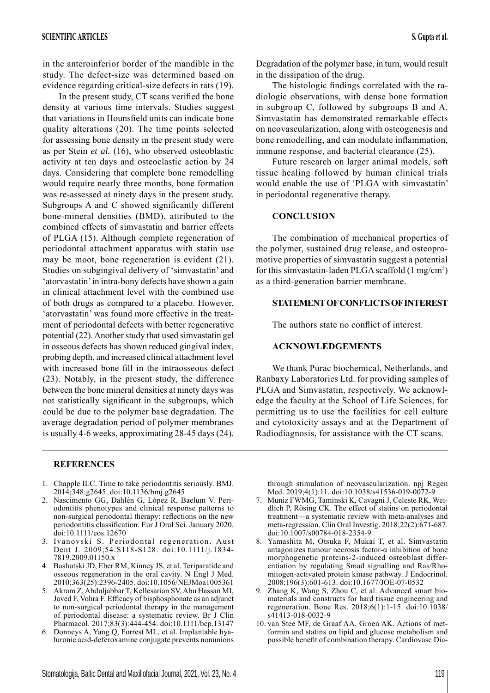in the anteroinferior border of the mandible in the study. The defect-size was determined based on evidence regarding critical-size defects in rats (19).

In the present study, CT scans verified the bone density at various time intervals. Studies suggest that variations in Hounsfield units can indicate bone quality alterations (20). The time points selected for assessing bone density in the present study were as per Stein *et al.* (16), who observed osteoblastic activity at ten days and osteoclastic action by 24 days. Considering that complete bone remodelling would require nearly three months, bone formation was re-assessed at ninety days in the present study. Subgroups A and C showed significantly different bone-mineral densities (BMD), attributed to the combined effects of simvastatin and barrier effects of PLGA (15). Although complete regeneration of periodontal attachment apparatus with statin use may be moot, bone regeneration is evident (21). Studies on subgingival delivery of 'simvastatin' and 'atorvastatin' in intra-bony defects have shown a gain in clinical attachment level with the combined use of both drugs as compared to a placebo. However, 'atorvastatin' was found more effective in the treatment of periodontal defects with better regenerative potential (22). Another study that used simvastatin gel in osseous defects has shown reduced gingival index, probing depth, and increased clinical attachment level with increased bone fill in the intraosseous defect (23). Notably, in the present study, the difference between the bone mineral densities at ninety days was not statistically significant in the subgroups, which could be due to the polymer base degradation. The average degradation period of polymer membranes is usually 4-6 weeks, approximating 28-45 days (24).

#### **REFERENCES**

- 1. Chapple ILC. Time to take periodontitis seriously. BMJ. 2014;348:g2645. doi:10.1136/bmj.g2645
- 2. Nascimento GG, Dahlén G, López R, Baelum V. Periodontitis phenotypes and clinical response patterns to non-surgical periodontal therapy: reflections on the new periodontitis classification. Eur J Oral Sci. January 2020. doi:10.1111/eos.12670
- 3. Ivanovski S. Periodontal regeneration. Aust Dent J. 2009;54:S118-S128. doi:10.1111/j.1834- 7819.2009.01150.x
- 4. Bashutski JD, Eber RM, Kinney JS, et al. Teriparatide and osseous regeneration in the oral cavity. N Engl J Med. 2010;363(25):2396-2405. doi:10.1056/NEJMoa1005361
- 5. Akram Z, Abduljabbar T, Kellesarian SV, Abu Hassan MI, Javed F, Vohra F. Efficacy of bisphosphonate as an adjunct to non-surgical periodontal therapy in the management of periodontal disease: a systematic review. Br J Clin Pharmacol. 2017;83(3):444-454. doi:10.1111/bcp.13147
- 6. Donneys A, Yang Q, Forrest ML, et al. Implantable hyaluronic acid-deferoxamine conjugate prevents nonunions

Degradation of the polymer base, in turn, would result in the dissipation of the drug.

The histologic findings correlated with the radiologic observations, with dense bone formation in subgroup C, followed by subgroups B and A. Simvastatin has demonstrated remarkable effects on neovascularization, along with osteogenesis and bone remodelling, and can modulate inflammation, immune response, and bacterial clearance (25).

Future research on larger animal models, soft tissue healing followed by human clinical trials would enable the use of 'PLGA with simvastatin' in periodontal regenerative therapy.

#### **CONCLUSION**

The combination of mechanical properties of the polymer, sustained drug release, and osteopromotive properties of simvastatin suggest a potential for this simvastatin-laden PLGA scaffold (1 mg/cm<sup>2</sup>) as a third-generation barrier membrane.

#### **STATEMENT OF CONFLICTS OF INTEREST**

The authors state no conflict of interest.

#### **ACKNOWLEDGEMENTS**

We thank Purac biochemical, Netherlands, and Ranbaxy Laboratories Ltd. for providing samples of PLGA and Simvastatin, respectively. We acknowledge the faculty at the School of Life Sciences, for permitting us to use the facilities for cell culture and cytotoxicity assays and at the Department of Radiodiagnosis, for assistance with the CT scans.

through stimulation of neovascularization. npj Regen Med. 2019;4(1):11. doi:10.1038/s41536-019-0072-9

- 7. Muniz FWMG, Taminski K, Cavagni J, Celeste RK, Weidlich P, Rösing CK. The effect of statins on periodontal treatment—a systematic review with meta-analyses and meta-regression. Clin Oral Investig. 2018;22(2):671-687. doi:10.1007/s00784-018-2354-9
- 8. Yamashita M, Otsuka F, Mukai T, et al. Simvastatin antagonizes tumour necrosis factor- $\alpha$  inhibition of bone morphogenetic proteins-2-induced osteoblast differentiation by regulating Smad signalling and Ras/Rhomitogen-activated protein kinase pathway. J Endocrinol. 2008;196(3):601-613. doi:10.1677/JOE-07-0532
- 9. Zhang K, Wang S, Zhou C, et al. Advanced smart biomaterials and constructs for hard tissue engineering and regeneration. Bone Res. 2018;6(1):1-15. doi:10.1038/ s41413-018-0032-9
- 10. van Stee MF, de Graaf AA, Groen AK. Actions of metformin and statins on lipid and glucose metabolism and possible benefit of combination therapy. Cardiovasc Dia-